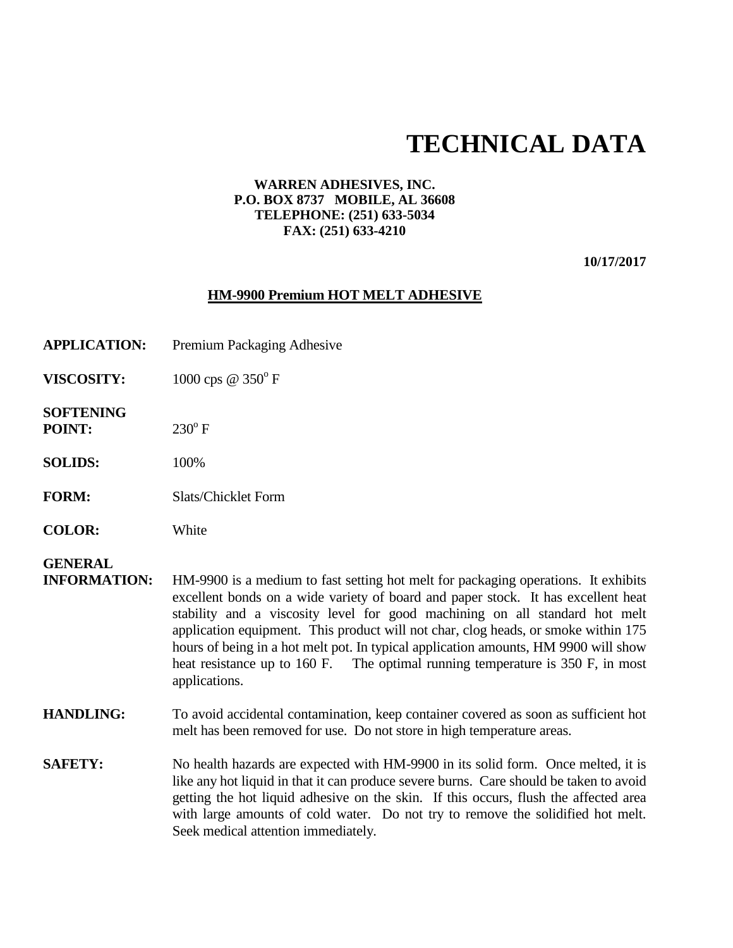# **TECHNICAL DATA**

#### **WARREN ADHESIVES, INC. P.O. BOX 8737 MOBILE, AL 36608 TELEPHONE: (251) 633-5034 FAX: (251) 633-4210**

**10/17/2017**

#### **HM-9900 Premium HOT MELT ADHESIVE**

- **APPLICATION:** Premium Packaging Adhesive
- **VISCOSITY:**  $1000 \text{ cps} \ @ 350^{\circ} \text{F}$
- **SOFTENING POINT:**  $230^{\circ}$  F
- **SOLIDS:** 100%
- **FORM:** Slats/Chicklet Form
- **COLOR:** White

## **GENERAL**

**INFORMATION:** HM-9900 is a medium to fast setting hot melt for packaging operations. It exhibits excellent bonds on a wide variety of board and paper stock. It has excellent heat stability and a viscosity level for good machining on all standard hot melt application equipment. This product will not char, clog heads, or smoke within 175 hours of being in a hot melt pot. In typical application amounts, HM 9900 will show heat resistance up to 160 F. The optimal running temperature is 350 F, in most applications.

### **HANDLING:** To avoid accidental contamination, keep container covered as soon as sufficient hot melt has been removed for use. Do not store in high temperature areas.

**SAFETY:** No health hazards are expected with HM-9900 in its solid form. Once melted, it is like any hot liquid in that it can produce severe burns. Care should be taken to avoid getting the hot liquid adhesive on the skin. If this occurs, flush the affected area with large amounts of cold water. Do not try to remove the solidified hot melt. Seek medical attention immediately.